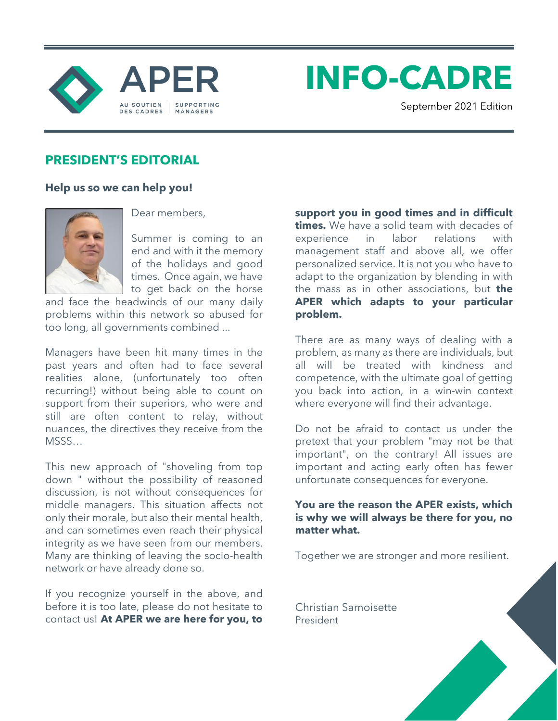

**INFO-CADRE**

September 2021 Edition

## **PRESIDENT'S EDITORIAL**

### **Help us so we can help you!**



Dear members,

Summer is coming to an end and with it the memory of the holidays and good times. Once again, we have to get back on the horse

and face the headwinds of our many daily problems within this network so abused for too long, all governments combined ...

Managers have been hit many times in the past years and often had to face several realities alone, (unfortunately too often recurring!) without being able to count on support from their superiors, who were and still are often content to relay, without nuances, the directives they receive from the MSSS…

This new approach of "shoveling from top down " without the possibility of reasoned discussion, is not without consequences for middle managers. This situation affects not only their morale, but also their mental health, and can sometimes even reach their physical integrity as we have seen from our members. Many are thinking of leaving the socio-health network or have already done so.

If you recognize yourself in the above, and before it is too late, please do not hesitate to contact us! **At APER we are here for you, to** 

**support you in good times and in difficult times.** We have a solid team with decades of experience in labor relations with management staff and above all, we offer personalized service. It is not you who have to adapt to the organization by blending in with the mass as in other associations, but **the APER which adapts to your particular problem.** 

There are as many ways of dealing with a problem, as many as there are individuals, but all will be treated with kindness and competence, with the ultimate goal of getting you back into action, in a win-win context where everyone will find their advantage.

Do not be afraid to contact us under the pretext that your problem "may not be that important", on the contrary! All issues are important and acting early often has fewer unfortunate consequences for everyone.

### **You are the reason the APER exists, which is why we will always be there for you, no matter what.**

Together we are stronger and more resilient.

Christian Samoisette President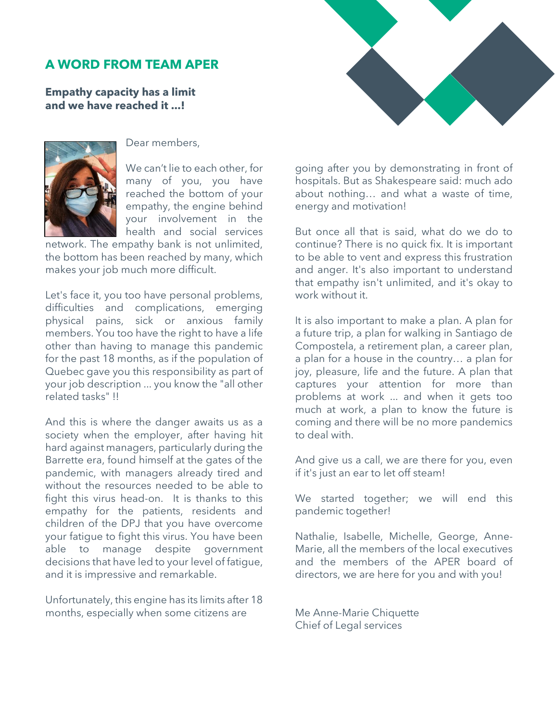## **A WORD FROM TEAM APER**

**Empathy capacity has a limit and we have reached it ...!**



Dear members,

We can't lie to each other, for many of you, you have reached the bottom of your empathy, the engine behind your involvement in the health and social services

network. The empathy bank is not unlimited, the bottom has been reached by many, which makes your job much more difficult.

Let's face it, you too have personal problems, difficulties and complications, emerging physical pains, sick or anxious family members. You too have the right to have a life other than having to manage this pandemic for the past 18 months, as if the population of Quebec gave you this responsibility as part of your job description ... you know the "all other related tasks" !!

And this is where the danger awaits us as a society when the employer, after having hit hard against managers, particularly during the Barrette era, found himself at the gates of the pandemic, with managers already tired and without the resources needed to be able to fight this virus head-on. It is thanks to this empathy for the patients, residents and children of the DPJ that you have overcome your fatigue to fight this virus. You have been able to manage despite government decisions that have led to your level of fatigue, and it is impressive and remarkable.

Unfortunately, this engine has its limits after 18 months, especially when some citizens are



going after you by demonstrating in front of hospitals. But as Shakespeare said: much ado about nothing… and what a waste of time, energy and motivation!

But once all that is said, what do we do to continue? There is no quick fix. It is important to be able to vent and express this frustration and anger. It's also important to understand that empathy isn't unlimited, and it's okay to work without it.

It is also important to make a plan. A plan for a future trip, a plan for walking in Santiago de Compostela, a retirement plan, a career plan, a plan for a house in the country… a plan for joy, pleasure, life and the future. A plan that captures your attention for more than problems at work ... and when it gets too much at work, a plan to know the future is coming and there will be no more pandemics to deal with.

And give us a call, we are there for you, even if it's just an ear to let off steam!

We started together; we will end this pandemic together!

Nathalie, Isabelle, Michelle, George, Anne-Marie, all the members of the local executives and the members of the APER board of directors, we are here for you and with you!

Me Anne-Marie Chiquette Chief of Legal services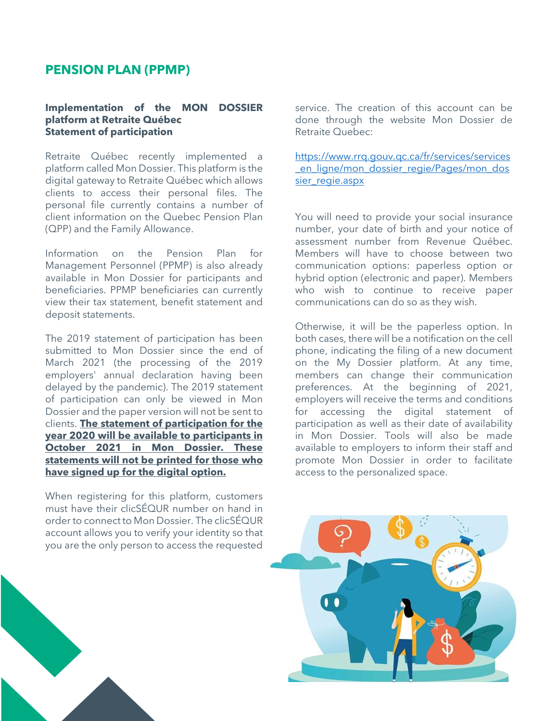### **PENSION PLAN (PPMP)**

#### **Implementation of the MON DOSSIER platform at Retraite Québec Statement of participation**

Retraite Québec recently implemented a platform called Mon Dossier. This platform is the digital gateway to Retraite Québec which allows clients to access their personal files. The personal file currently contains a number of client information on the Quebec Pension Plan (QPP) and the Family Allowance.

Information on the Pension Plan for Management Personnel (PPMP) is also already available in Mon Dossier for participants and beneficiaries. PPMP beneficiaries can currently view their tax statement, benefit statement and deposit statements.

The 2019 statement of participation has been submitted to Mon Dossier since the end of March 2021 (the processing of the 2019 employers' annual declaration having been delayed by the pandemic). The 2019 statement of participation can only be viewed in Mon Dossier and the paper version will not be sent to clients. **The statement of participation for the year 2020 will be available to participants in October 2021 in Mon Dossier. These statements will not be printed for those who have signed up for the digital option.**

When registering for this platform, customers must have their clicSÉQUR number on hand in order to connect to Mon Dossier. The clicSÉQUR account allows you to verify your identity so that you are the only person to access the requested

service. The creation of this account can be done through the website Mon Dossier de Retraite Quebec:

[https://www.rrq.gouv.qc.ca/fr/services/services](https://www.rrq.gouv.qc.ca/fr/services/services_en_ligne/mon_dossier_regie/Pages/mon_dossier_regie.aspx) en ligne/mon\_dossier\_regie/Pages/mon\_dos [sier\\_regie.aspx](https://www.rrq.gouv.qc.ca/fr/services/services_en_ligne/mon_dossier_regie/Pages/mon_dossier_regie.aspx)

You will need to provide your social insurance number, your date of birth and your notice of assessment number from Revenue Québec. Members will have to choose between two communication options: paperless option or hybrid option (electronic and paper). Members who wish to continue to receive paper communications can do so as they wish.

Otherwise, it will be the paperless option. In both cases, there will be a notification on the cell phone, indicating the filing of a new document on the My Dossier platform. At any time, members can change their communication preferences. At the beginning of 2021, employers will receive the terms and conditions for accessing the digital statement of participation as well as their date of availability in Mon Dossier. Tools will also be made available to employers to inform their staff and promote Mon Dossier in order to facilitate access to the personalized space.

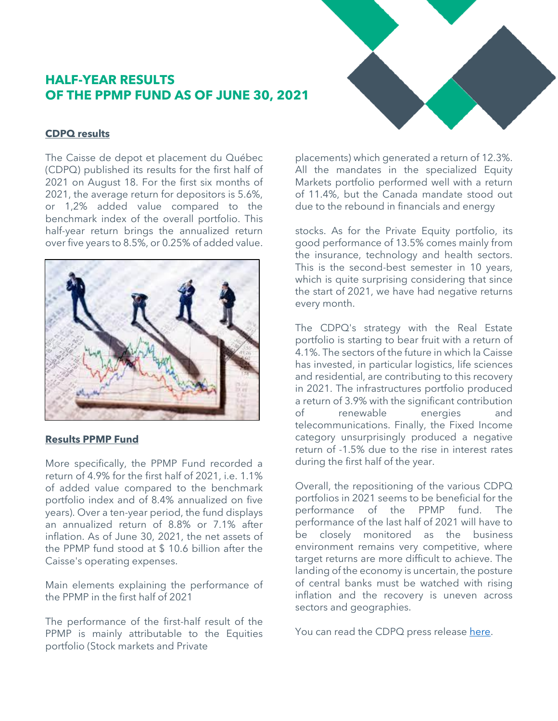## **HALF-YEAR RESULTS OF THE PPMP FUND AS OF JUNE 30, 2021**

#### **CDPQ results**

The Caisse de depot et placement du Québec (CDPQ) published its results for the first half of 2021 on August 18. For the first six months of 2021, the average return for depositors is 5.6%, or 1,2% added value compared to the benchmark index of the overall portfolio. This half-year return brings the annualized return over five years to 8.5%, or 0.25% of added value.



#### **Results PPMP Fund**

More specifically, the PPMP Fund recorded a return of 4.9% for the first half of 2021, i.e. 1.1% of added value compared to the benchmark portfolio index and of 8.4% annualized on five years). Over a ten-year period, the fund displays an annualized return of 8.8% or 7.1% after inflation. As of June 30, 2021, the net assets of the PPMP fund stood at \$ 10.6 billion after the Caisse's operating expenses.

Main elements explaining the performance of the PPMP in the first half of 2021

The performance of the first-half result of the PPMP is mainly attributable to the Equities portfolio (Stock markets and Private

placements) which generated a return of 12.3%. All the mandates in the specialized Equity Markets portfolio performed well with a return of 11.4%, but the Canada mandate stood out due to the rebound in financials and energy

stocks. As for the Private Equity portfolio, its good performance of 13.5% comes mainly from the insurance, technology and health sectors. This is the second-best semester in 10 years, which is quite surprising considering that since the start of 2021, we have had negative returns every month.

The CDPQ's strategy with the Real Estate portfolio is starting to bear fruit with a return of 4.1%. The sectors of the future in which la Caisse has invested, in particular logistics, life sciences and residential, are contributing to this recovery in 2021. The infrastructures portfolio produced a return of 3.9% with the significant contribution of renewable energies and telecommunications. Finally, the Fixed Income category unsurprisingly produced a negative return of -1.5% due to the rise in interest rates during the first half of the year.

Overall, the repositioning of the various CDPQ portfolios in 2021 seems to be beneficial for the performance of the PPMP fund. The performance of the last half of 2021 will have to be closely monitored as the business environment remains very competitive, where target returns are more difficult to achieve. The landing of the economy is uncertain, the posture of central banks must be watched with rising inflation and the recovery is uneven across sectors and geographies.

You can read the CDPQ press release [here.](https://www.cdpq.com/fr/actualites/communiques/resultats-semestriels-2021)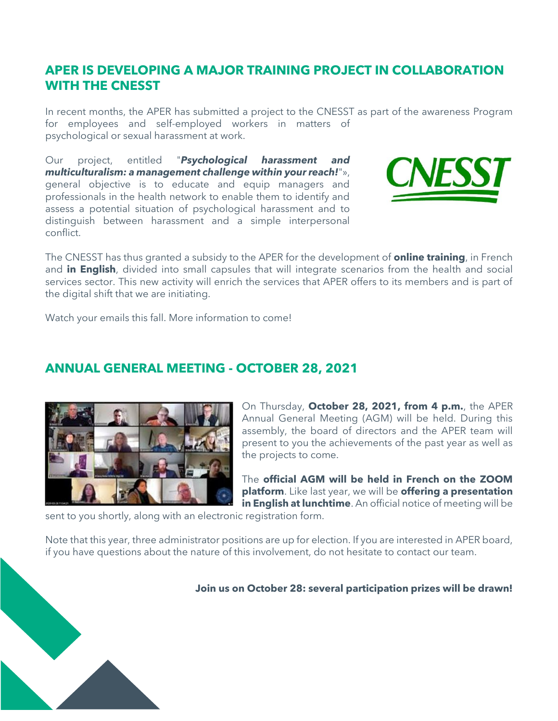## **APER IS DEVELOPING A MAJOR TRAINING PROJECT IN COLLABORATION WITH THE CNESST**

In recent months, the APER has submitted a project to the CNESST as part of the awareness Program for employees and self-employed workers in matters of psychological or sexual harassment at work.

Our project, entitled "*Psychological harassment and multiculturalism: a management challenge within your reach!*"», general objective is to educate and equip managers and professionals in the health network to enable them to identify and assess a potential situation of psychological harassment and to distinguish between harassment and a simple interpersonal conflict.



The CNESST has thus granted a subsidy to the APER for the development of **online training**, in French and **in English**, divided into small capsules that will integrate scenarios from the health and social services sector. This new activity will enrich the services that APER offers to its members and is part of the digital shift that we are initiating.

Watch your emails this fall. More information to come!

## **ANNUAL GENERAL MEETING - OCTOBER 28, 2021**



On Thursday, **October 28, 2021, from 4 p.m.**, the APER Annual General Meeting (AGM) will be held. During this assembly, the board of directors and the APER team will present to you the achievements of the past year as well as the projects to come.

The **official AGM will be held in French on the ZOOM platform**. Like last year, we will be **offering a presentation in English at lunchtime**. An official notice of meeting will be

sent to you shortly, along with an electronic registration form.

Note that this year, three administrator positions are up for election. If you are interested in APER board, if you have questions about the nature of this involvement, do not hesitate to contact our team.

**Join us on October 28: several participation prizes will be drawn!**